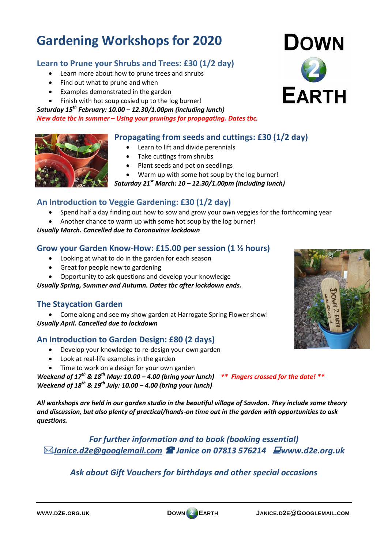# **Gardening Workshops for 2020**

### **Learn to Prune your Shrubs and Trees: £30 (1/2 day)**

- Learn more about how to prune trees and shrubs
- Find out what to prune and when
- Examples demonstrated in the garden
- Finish with hot soup cosied up to the log burner!

#### *Saturday 15th February: 10.00 – 12.30/1.00pm (including lunch)*

#### *New date tbc in summer – Using your prunings for propagating. Dates tbc.*

## **Propagating from seeds and cuttings: £30 (1/2 day)**

- Learn to lift and divide perennials
	- Take cuttings from shrubs
	- Plant seeds and pot on seedlings
	- Warm up with some hot soup by the log burner!

*Saturday 21st March: 10 – 12.30/1.00pm (including lunch)*

## **An Introduction to Veggie Gardening: £30 (1/2 day)**

- Spend half a day finding out how to sow and grow your own veggies for the forthcoming year
- Another chance to warm up with some hot soup by the log burner!

#### *Usually March. Cancelled due to Coronavirus lockdown*

#### **Grow your Garden Know-How: £15.00 per session (1 ½ hours)**

- Looking at what to do in the garden for each season
- Great for people new to gardening
- Opportunity to ask questions and develop your knowledge

*Usually Spring, Summer and Autumn. Dates tbc after lockdown ends.*

### **The Staycation Garden**

 Come along and see my show garden at Harrogate Spring Flower show! *Usually April. Cancelled due to lockdown*

## **An Introduction to Garden Design: £80 (2 days)**

- Develop your knowledge to re-design your own garden
- Look at real-life examples in the garden
- Time to work on a design for your own garden

*Weekend of 17th & 18th May: 10.00 – 4.00 (bring your lunch) \*\* Fingers crossed for the date! \*\* Weekend of 18th & 19th July: 10.00 – 4.00 (bring your lunch)*

*All workshops are held in our garden studio in the beautiful village of Sawdon. They include some theory and discussion, but also plenty of practical/hands-on time out in the garden with opportunities to ask questions.*

*For further information and to book (booking essential) [Janice.d2e@googlemail.com](mailto:Janice.d2e@googlemail.com) Janice on 07813 576214 www.d2e.org.uk*

# *Ask about Gift Vouchers for birthdays and other special occasions*







**DOWN**